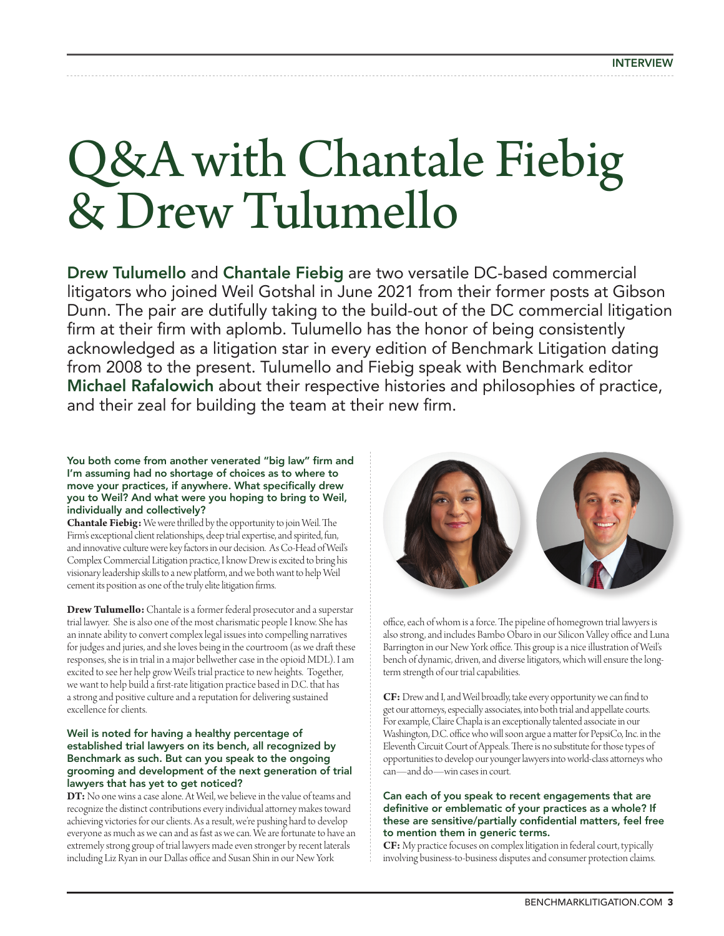# Q&A with Chantale Fiebig & Drew Tulumello

Drew Tulumello and Chantale Fiebig are two versatile DC-based commercial litigators who joined Weil Gotshal in June 2021 from their former posts at Gibson Dunn. The pair are dutifully taking to the build-out of the DC commercial litigation firm at their firm with aplomb. Tulumello has the honor of being consistently acknowledged as a litigation star in every edition of Benchmark Litigation dating from 2008 to the present. Tulumello and Fiebig speak with Benchmark editor Michael Rafalowich about their respective histories and philosophies of practice, and their zeal for building the team at their new firm.

# You both come from another venerated "big law" firm and I'm assuming had no shortage of choices as to where to move your practices, if anywhere. What specifically drew you to Weil? And what were you hoping to bring to Weil, individually and collectively?

**Chantale Fiebig:** We were thrilled by the opportunity to join Weil. The Firm's exceptional client relationships, deep trial expertise, and spirited, fun, and innovative culture were key factors in our decision. As Co-Head of Weil's Complex Commercial Litigation practice, I know Drew is excited to bring his visionary leadership skills to a new platform, and we both want to help Weil cement its position as one of the truly elite litigation firms.

**Drew Tulumello:** Chantale is a former federal prosecutor and a superstar trial lawyer. She is also one of the most charismatic people I know. She has an innate ability to convert complex legal issues into compelling narratives for judges and juries, and she loves being in the courtroom (as we draft these responses, she is in trial in a major bellwether case in the opioid MDL). I am excited to see her help grow Weil's trial practice to new heights. Together, we want to help build a first-rate litigation practice based in D.C. that has a strong and positive culture and a reputation for delivering sustained excellence for clients.

# Weil is noted for having a healthy percentage of established trial lawyers on its bench, all recognized by Benchmark as such. But can you speak to the ongoing grooming and development of the next generation of trial lawyers that has yet to get noticed?

**DT:** No one wins a case alone. At Weil, we believe in the value of teams and recognize the distinct contributions every individual attorney makes toward achieving victories for our clients. As a result, we're pushing hard to develop everyone as much as we can and as fast as we can. We are fortunate to have an extremely strong group of trial lawyers made even stronger by recent laterals including Liz Ryan in our Dallas office and Susan Shin in our New York



office, each of whom is a force. The pipeline of homegrown trial lawyers is also strong, and includes Bambo Obaro in our Silicon Valley office and Luna Barrington in our New York office. This group is a nice illustration of Weil's bench of dynamic, driven, and diverse litigators, which will ensure the longterm strength of our trial capabilities.

**CF:** Drew and I, and Weil broadly, take every opportunity we can find to get our attorneys, especially associates, into both trial and appellate courts. For example, Claire Chapla is an exceptionally talented associate in our Washington, D.C. office who will soon argue a matter for PepsiCo, Inc. in the Eleventh Circuit Court of Appeals. There is no substitute for those types of opportunities to develop our younger lawyers into world-class attorneys who can—and do—win cases in court.

# Can each of you speak to recent engagements that are definitive or emblematic of your practices as a whole? If these are sensitive/partially confidential matters, feel free to mention them in generic terms.

**CF:** My practice focuses on complex litigation in federal court, typically involving business-to-business disputes and consumer protection claims.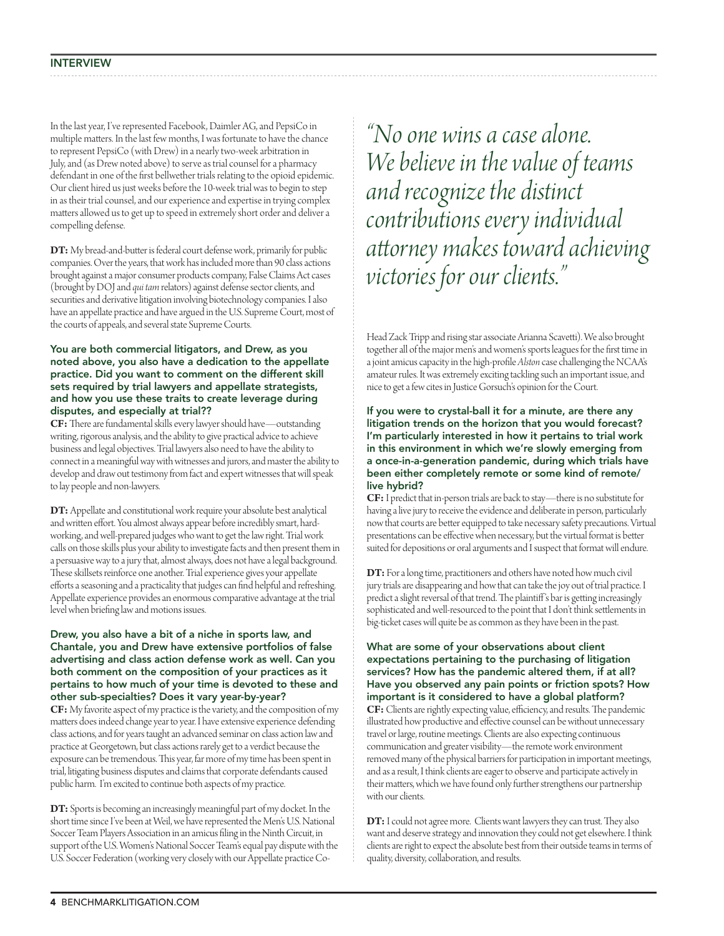In the last year, I've represented Facebook, Daimler AG, and PepsiCo in multiple matters. In the last few months, I was fortunate to have the chance to represent PepsiCo (with Drew) in a nearly two-week arbitration in July, and (as Drew noted above) to serve as trial counsel for a pharmacy defendant in one of the first bellwether trials relating to the opioid epidemic. Our client hired us just weeks before the 10-week trial was to begin to step in as their trial counsel, and our experience and expertise in trying complex matters allowed us to get up to speed in extremely short order and deliver a compelling defense.

**DT:** My bread-and-butter is federal court defense work, primarily for public companies. Over the years, that work has included more than 90 class actions brought against a major consumer products company, False Claims Act cases (brought by DOJ and *qui tam* relators) against defense sector clients, and securities and derivative litigation involving biotechnology companies. I also have an appellate practice and have argued in the U.S. Supreme Court, most of the courts of appeals, and several state Supreme Courts.

# You are both commercial litigators, and Drew, as you noted above, you also have a dedication to the appellate practice. Did you want to comment on the different skill sets required by trial lawyers and appellate strategists, and how you use these traits to create leverage during disputes, and especially at trial??

**CF:** There are fundamental skills every lawyer should have—outstanding writing, rigorous analysis, and the ability to give practical advice to achieve business and legal objectives. Trial lawyers also need to have the ability to connect in a meaningful way with witnesses and jurors, and master the ability to develop and draw out testimony from fact and expert witnesses that will speak to lay people and non-lawyers.

**DT:** Appellate and constitutional work require your absolute best analytical and written effort. You almost always appear before incredibly smart, hardworking, and well-prepared judges who want to get the law right. Trial work calls on those skills plus your ability to investigate facts and then present them in a persuasive way to a jury that, almost always, does not have a legal background. These skillsets reinforce one another. Trial experience gives your appellate efforts a seasoning and a practicality that judges can find helpful and refreshing. Appellate experience provides an enormous comparative advantage at the trial level when briefing law and motions issues.

### Drew, you also have a bit of a niche in sports law, and Chantale, you and Drew have extensive portfolios of false advertising and class action defense work as well. Can you both comment on the composition of your practices as it pertains to how much of your time is devoted to these and other sub-specialties? Does it vary year-by-year?

**CF:** My favorite aspect of my practice is the variety, and the composition of my matters does indeed change year to year. I have extensive experience defending class actions, and for years taught an advanced seminar on class action law and practice at Georgetown, but class actions rarely get to a verdict because the exposure can be tremendous. This year, far more of my time has been spent in trial, litigating business disputes and claims that corporate defendants caused public harm. I'm excited to continue both aspects of my practice.

**DT:** Sports is becoming an increasingly meaningful part of my docket. In the short time since I've been at Weil, we have represented the Men's U.S. National Soccer Team Players Association in an amicus filing in the Ninth Circuit, in support of the U.S. Women's National Soccer Team's equal pay dispute with the U.S. Soccer Federation (working very closely with our Appellate practice Co-

*"No one wins a case alone. We believe in the value of teams and recognize the distinct contributions every individual attorney makes toward achieving victories for our clients."*

Head Zack Tripp and rising star associate Arianna Scavetti). We also brought together all of the major men's and women's sports leagues for the first time in a joint amicus capacity in the high-profile *Alston* case challenging the NCAA's amateur rules. It was extremely exciting tackling such an important issue, and nice to get a few cites in Justice Gorsuch's opinion for the Court.

### If you were to crystal-ball it for a minute, are there any litigation trends on the horizon that you would forecast? I'm particularly interested in how it pertains to trial work in this environment in which we're slowly emerging from a once-in-a-generation pandemic, during which trials have been either completely remote or some kind of remote/ live hybrid?

**CF:** I predict that in-person trials are back to stay—there is no substitute for having a live jury to receive the evidence and deliberate in person, particularly now that courts are better equipped to take necessary safety precautions. Virtual presentations can be effective when necessary, but the virtual format is better suited for depositions or oral arguments and I suspect that format will endure.

**DT:** For a long time, practitioners and others have noted how much civil jury trials are disappearing and how that can take the joy out of trial practice. I predict a slight reversal of that trend. The plaintiff 's bar is getting increasingly sophisticated and well-resourced to the point that I don't think settlements in big-ticket cases will quite be as common as they have been in the past.

# What are some of your observations about client expectations pertaining to the purchasing of litigation services? How has the pandemic altered them, if at all? Have you observed any pain points or friction spots? How important is it considered to have a global platform?

**CF:** Clients are rightly expecting value, efficiency, and results. The pandemic illustrated how productive and effective counsel can be without unnecessary travel or large, routine meetings. Clients are also expecting continuous communication and greater visibility—the remote work environment removed many of the physical barriers for participation in important meetings, and as a result, I think clients are eager to observe and participate actively in their matters, which we have found only further strengthens our partnership with our clients.

**DT:** I could not agree more. Clients want lawyers they can trust. They also want and deserve strategy and innovation they could not get elsewhere. I think clients are right to expect the absolute best from their outside teams in terms of quality, diversity, collaboration, and results.